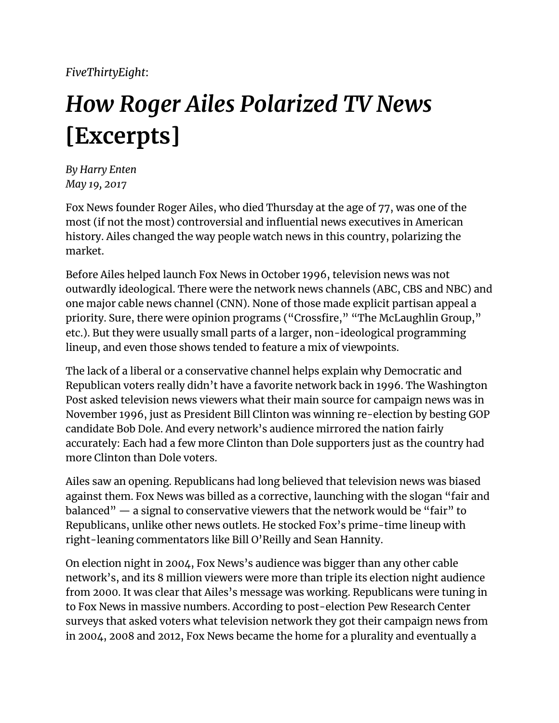*FiveThirtyEight*:

## *How Roger Ailes Polarized TV News* **[Excerpts]**

*By Harry Enten May 19, 2017*

Fox News founder Roger Ailes, who died Thursday at the age of 77, was one of the most (if not the most) controversial and influential news executives in American history. Ailes changed the way people watch news in this country, polarizing the market.

Before Ailes helped launch Fox News in October 1996, television news was not outwardly ideological. There were the network news channels (ABC, CBS and NBC) and one major cable news channel (CNN). None of those made explicit partisan appeal a priority. Sure, there were opinion programs ("Crossfire," "The McLaughlin Group," etc.). But they were usually small parts of a larger, non-ideological programming lineup, and even those shows tended to feature a mix of viewpoints.

The lack of a liberal or a conservative channel helps explain why Democratic and Republican voters really didn't have a favorite network back in 1996. The Washington Post asked television news viewers what their main source for campaign news was in November 1996, just as President Bill Clinton was winning re-election by besting GOP candidate Bob Dole. And every network's audience mirrored the nation fairly accurately: Each had a few more Clinton than Dole supporters just as the country had more Clinton than Dole voters.

Ailes saw an opening. Republicans had long believed that television news was biased against them. Fox News was billed as a corrective, launching with the slogan "fair and balanced" — a signal to conservative viewers that the network would be "fair" to Republicans, unlike other news outlets. He stocked Fox's prime-time lineup with right-leaning commentators like Bill O'Reilly and Sean Hannity.

On election night in 2004, Fox News's audience was bigger than any other cable network's, and its 8 million viewers were more than triple its election night audience from 2000. It was clear that Ailes's message was working. Republicans were tuning in to Fox News in massive numbers. According to post-election Pew Research Center surveys that asked voters what television network they got their campaign news from in 2004, 2008 and 2012, Fox News became the home for a plurality and eventually a